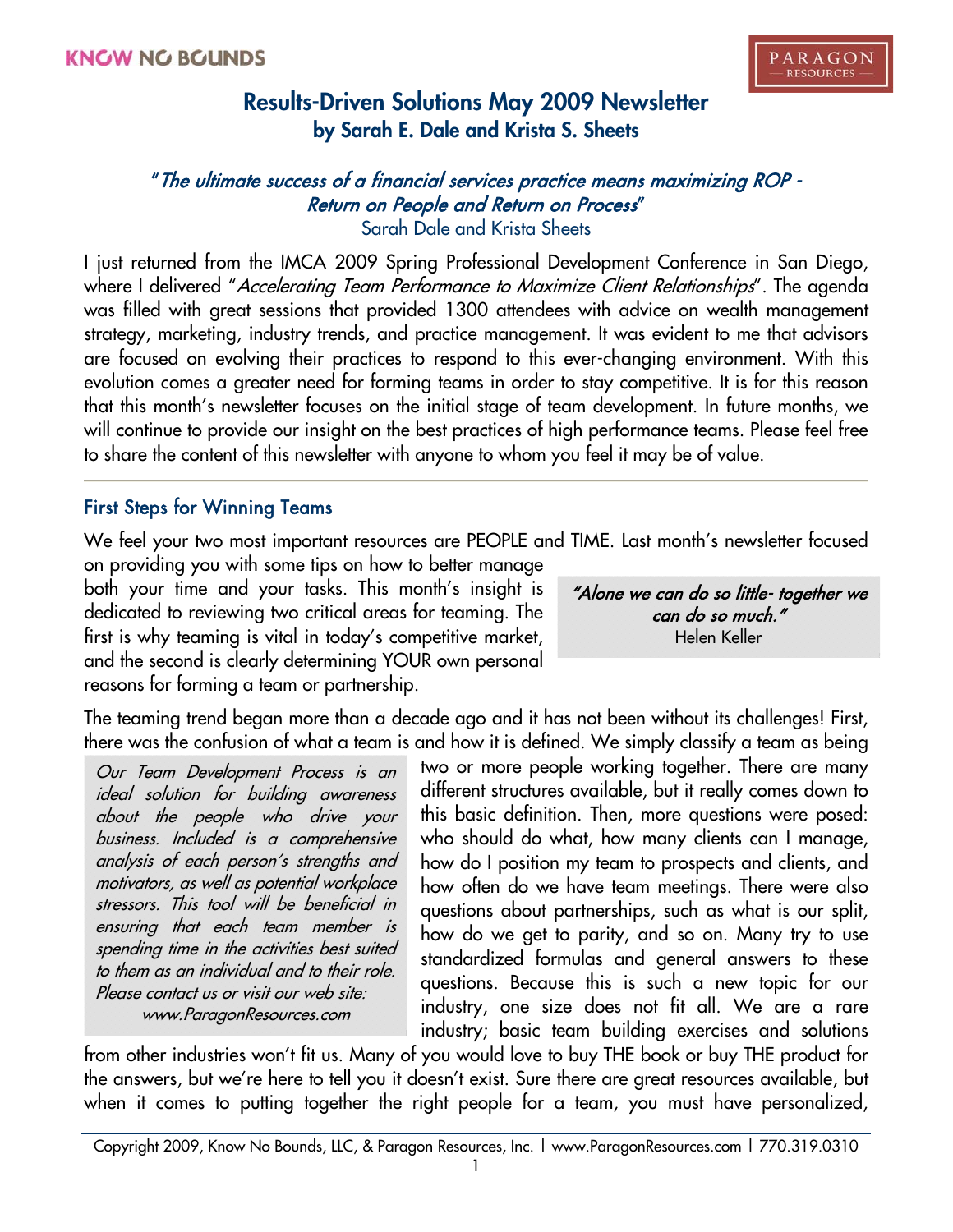# "The ultimate success of a financial services practice means maximizing ROP - Return on People and Return on Process"

Sarah Dale and Krista Sheets

I just returned from the IMCA 2009 Spring Professional Development Conference in San Diego, where I delivered "Accelerating Team Performance to Maximize Client Relationships". The agenda was filled with great sessions that provided 1300 attendees with advice on wealth management strategy, marketing, industry trends, and practice management. It was evident to me that advisors are focused on evolving their practices to respond to this ever-changing environment. With this evolution comes a greater need for forming teams in order to stay competitive. It is for this reason that this month's newsletter focuses on the initial stage of team development. In future months, we will continue to provide our insight on the best practices of high performance teams. Please feel free to share the content of this newsletter with anyone to whom you feel it may be of value.

### First Steps for Winning Teams

We feel your two most important resources are PEOPLE and TIME. Last month's newsletter focused

on providing you with some tips on how to better manage both your time and your tasks. This month's insight is dedicated to reviewing two critical areas for teaming. The first is why teaming is vital in today's competitive market, and the second is clearly determining YOUR own personal reasons for forming a team or partnership.

"Alone we can do so little- together we can do so much." Helen Keller

The teaming trend began more than a decade ago and it has not been without its challenges! First, there was the confusion of what a team is and how it is defined. We simply classify a team as being

Our Team Development Process is an ideal solution for building awareness about the people who drive your business. Included is a comprehensive analysis of each person's strengths and motivators, as well as potential workplace stressors. This tool will be beneficial in ensuring that each team member is spending time in the activities best suited to them as an individual and to their role. Please contact us or visit our web site: www.ParagonResources.com

two or more people working together. There are many different structures available, but it really comes down to this basic definition. Then, more questions were posed: who should do what, how many clients can I manage, how do I position my team to prospects and clients, and how often do we have team meetings. There were also questions about partnerships, such as what is our split, how do we get to parity, and so on. Many try to use standardized formulas and general answers to these questions. Because this is such a new topic for our industry, one size does not fit all. We are a rare industry; basic team building exercises and solutions

from other industries won't fit us. Many of you would love to buy THE book or buy THE product for the answers, but we're here to tell you it doesn't exist. Sure there are great resources available, but when it comes to putting together the right people for a team, you must have personalized,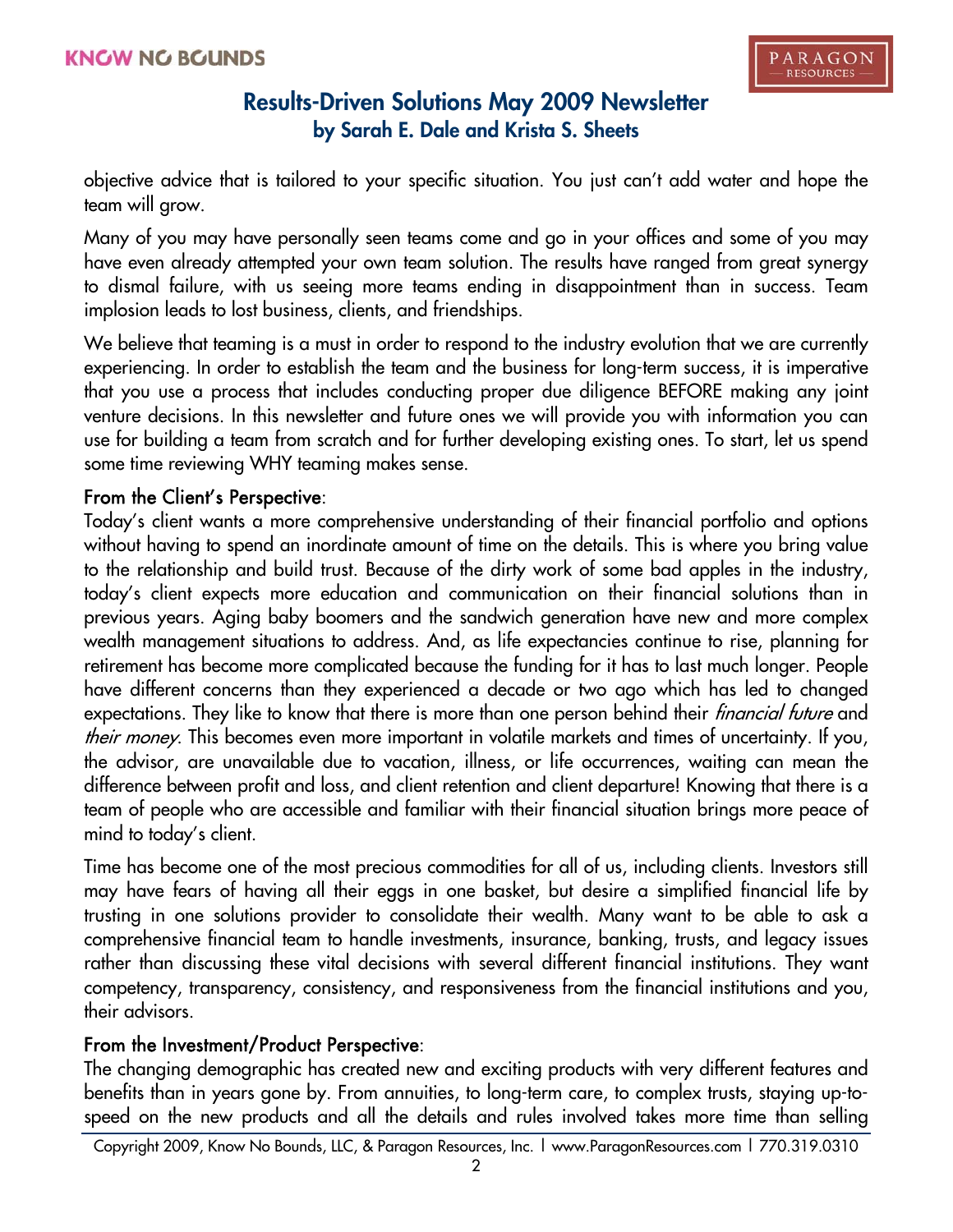objective advice that is tailored to your specific situation. You just can't add water and hope the team will grow.

Many of you may have personally seen teams come and go in your offices and some of you may have even already attempted your own team solution. The results have ranged from great synergy to dismal failure, with us seeing more teams ending in disappointment than in success. Team implosion leads to lost business, clients, and friendships.

We believe that teaming is a must in order to respond to the industry evolution that we are currently experiencing. In order to establish the team and the business for long-term success, it is imperative that you use a process that includes conducting proper due diligence BEFORE making any joint venture decisions. In this newsletter and future ones we will provide you with information you can use for building a team from scratch and for further developing existing ones. To start, let us spend some time reviewing WHY teaming makes sense.

#### From the Client's Perspective:

Today's client wants a more comprehensive understanding of their financial portfolio and options without having to spend an inordinate amount of time on the details. This is where you bring value to the relationship and build trust. Because of the dirty work of some bad apples in the industry, today's client expects more education and communication on their financial solutions than in previous years. Aging baby boomers and the sandwich generation have new and more complex wealth management situations to address. And, as life expectancies continue to rise, planning for retirement has become more complicated because the funding for it has to last much longer. People have different concerns than they experienced a decade or two ago which has led to changed expectations. They like to know that there is more than one person behind their *financial future* and their money. This becomes even more important in volatile markets and times of uncertainty. If you, the advisor, are unavailable due to vacation, illness, or life occurrences, waiting can mean the difference between profit and loss, and client retention and client departure! Knowing that there is a team of people who are accessible and familiar with their financial situation brings more peace of mind to today's client.

Time has become one of the most precious commodities for all of us, including clients. Investors still may have fears of having all their eggs in one basket, but desire a simplified financial life by trusting in one solutions provider to consolidate their wealth. Many want to be able to ask a comprehensive financial team to handle investments, insurance, banking, trusts, and legacy issues rather than discussing these vital decisions with several different financial institutions. They want competency, transparency, consistency, and responsiveness from the financial institutions and you, their advisors.

### From the Investment/Product Perspective:

The changing demographic has created new and exciting products with very different features and benefits than in years gone by. From annuities, to long-term care, to complex trusts, staying up-tospeed on the new products and all the details and rules involved takes more time than selling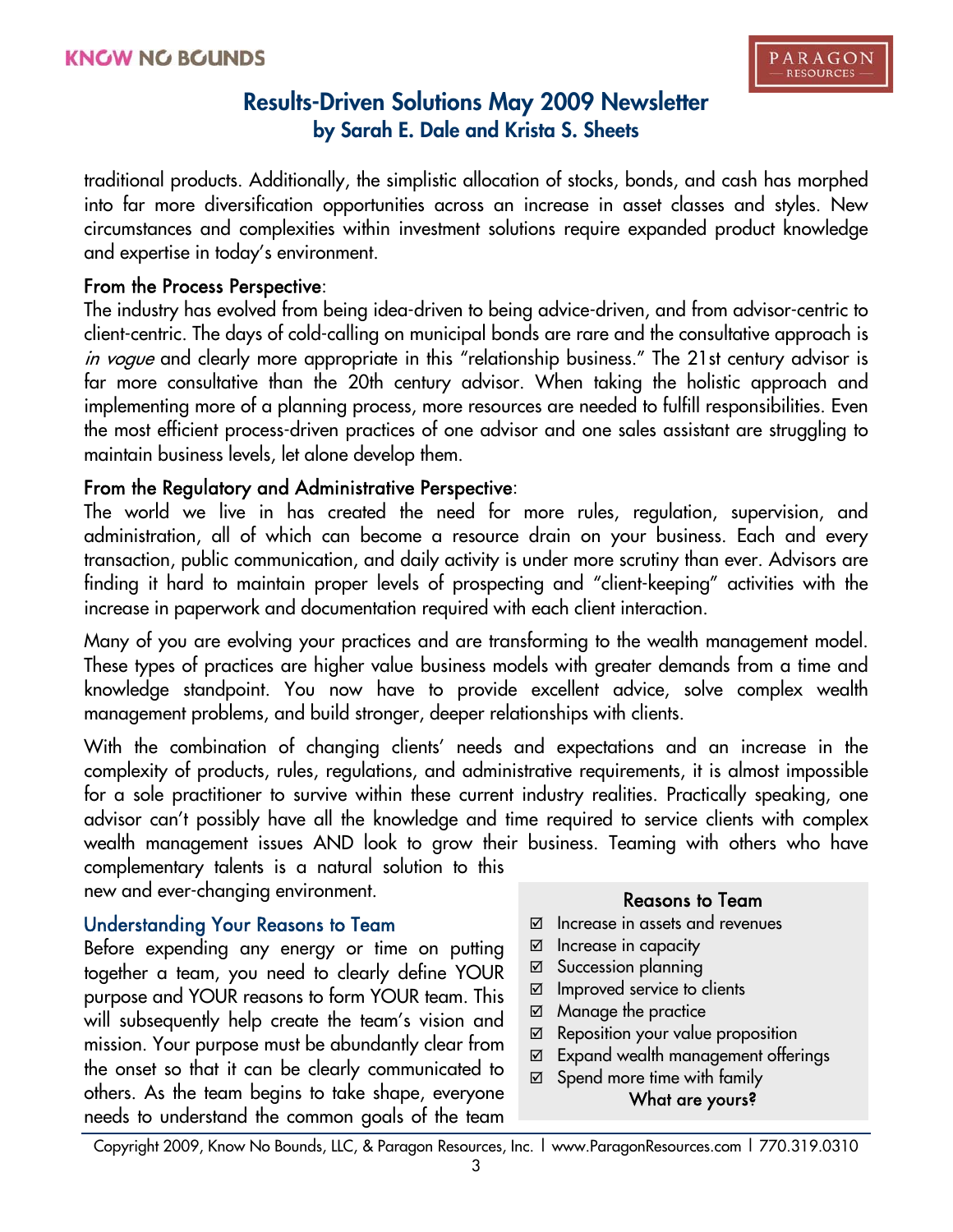traditional products. Additionally, the simplistic allocation of stocks, bonds, and cash has morphed into far more diversification opportunities across an increase in asset classes and styles. New circumstances and complexities within investment solutions require expanded product knowledge and expertise in today's environment.

#### From the Process Perspective:

The industry has evolved from being idea-driven to being advice-driven, and from advisor-centric to client-centric. The days of cold-calling on municipal bonds are rare and the consultative approach is in vogue and clearly more appropriate in this "relationship business." The 21st century advisor is far more consultative than the 20th century advisor. When taking the holistic approach and implementing more of a planning process, more resources are needed to fulfill responsibilities. Even the most efficient process-driven practices of one advisor and one sales assistant are struggling to maintain business levels, let alone develop them.

### From the Regulatory and Administrative Perspective:

The world we live in has created the need for more rules, regulation, supervision, and administration, all of which can become a resource drain on your business. Each and every transaction, public communication, and daily activity is under more scrutiny than ever. Advisors are finding it hard to maintain proper levels of prospecting and "client-keeping" activities with the increase in paperwork and documentation required with each client interaction.

Many of you are evolving your practices and are transforming to the wealth management model. These types of practices are higher value business models with greater demands from a time and knowledge standpoint. You now have to provide excellent advice, solve complex wealth management problems, and build stronger, deeper relationships with clients.

With the combination of changing clients' needs and expectations and an increase in the complexity of products, rules, regulations, and administrative requirements, it is almost impossible for a sole practitioner to survive within these current industry realities. Practically speaking, one advisor can't possibly have all the knowledge and time required to service clients with complex wealth management issues AND look to grow their business. Teaming with others who have complementary talents is a natural solution to this

new and ever-changing environment.

### Understanding Your Reasons to Team

Before expending any energy or time on putting together a team, you need to clearly define YOUR purpose and YOUR reasons to form YOUR team. This will subsequently help create the team's vision and mission. Your purpose must be abundantly clear from the onset so that it can be clearly communicated to others. As the team begins to take shape, everyone needs to understand the common goals of the team

#### Reasons to Team

- $\boxtimes$  Increase in assets and revenues
- $\boxtimes$  Increase in capacity
- ⊠ Succession planning
- $\boxtimes$  Improved service to clients
- $\boxtimes$  Manage the practice
- $\boxtimes$  Reposition your value proposition
- $\boxtimes$  Expand wealth management offerings
- $\boxtimes$  Spend more time with family What are yours?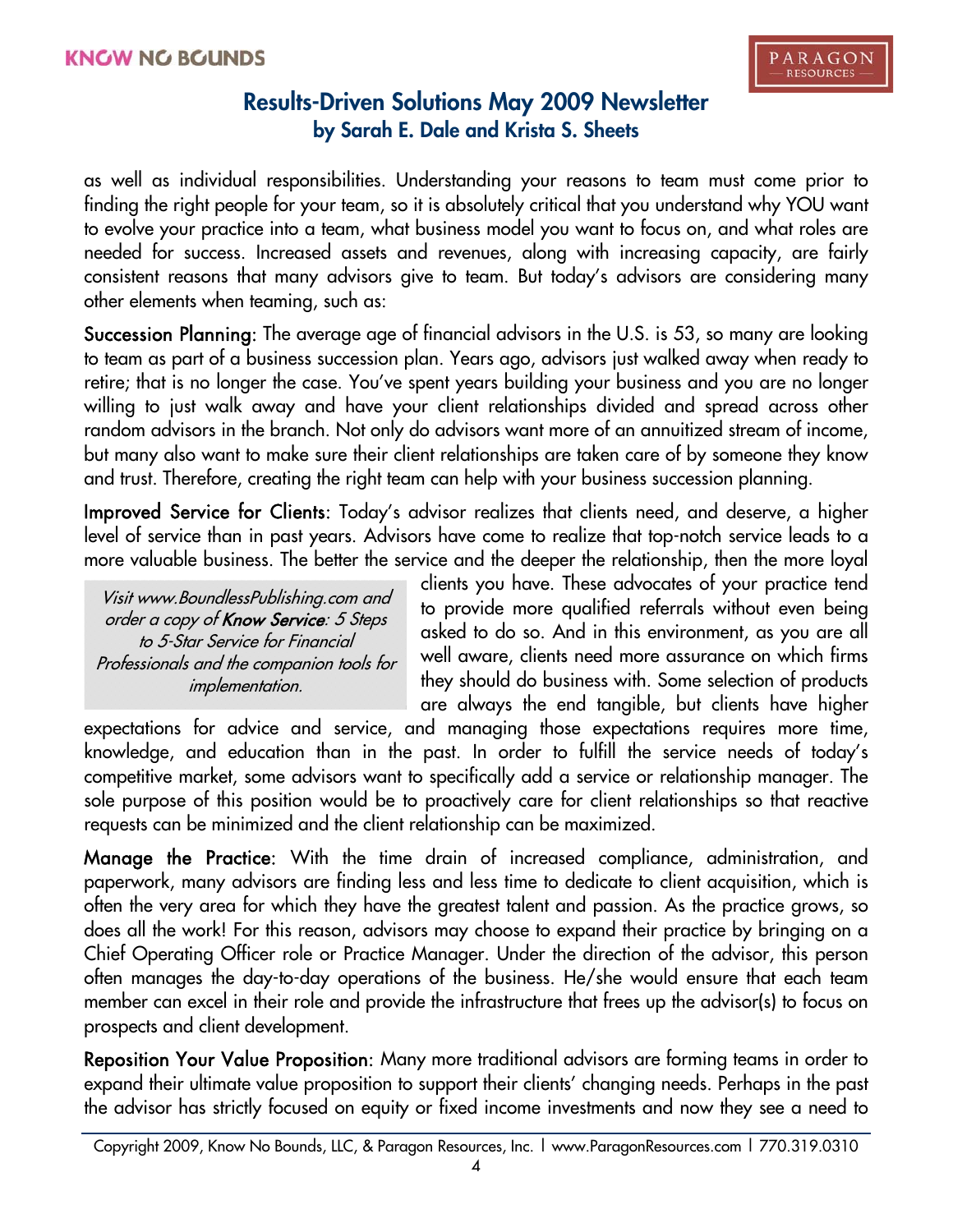as well as individual responsibilities. Understanding your reasons to team must come prior to finding the right people for your team, so it is absolutely critical that you understand why YOU want to evolve your practice into a team, what business model you want to focus on, and what roles are needed for success. Increased assets and revenues, along with increasing capacity, are fairly consistent reasons that many advisors give to team. But today's advisors are considering many other elements when teaming, such as:

Succession Planning: The average age of financial advisors in the U.S. is 53, so many are looking to team as part of a business succession plan. Years ago, advisors just walked away when ready to retire; that is no longer the case. You've spent years building your business and you are no longer willing to just walk away and have your client relationships divided and spread across other random advisors in the branch. Not only do advisors want more of an annuitized stream of income, but many also want to make sure their client relationships are taken care of by someone they know and trust. Therefore, creating the right team can help with your business succession planning.

Improved Service for Clients: Today's advisor realizes that clients need, and deserve, a higher level of service than in past years. Advisors have come to realize that top-notch service leads to a more valuable business. The better the service and the deeper the relationship, then the more loyal

Visit www.BoundlessPublishing.com and order a copy of Know Service: 5 Steps to 5-Star Service for Financial Professionals and the companion tools for implementation.

clients you have. These advocates of your practice tend to provide more qualified referrals without even being asked to do so. And in this environment, as you are all well aware, clients need more assurance on which firms they should do business with. Some selection of products are always the end tangible, but clients have higher

expectations for advice and service, and managing those expectations requires more time, knowledge, and education than in the past. In order to fulfill the service needs of today's competitive market, some advisors want to specifically add a service or relationship manager. The sole purpose of this position would be to proactively care for client relationships so that reactive requests can be minimized and the client relationship can be maximized.

Manage the Practice: With the time drain of increased compliance, administration, and paperwork, many advisors are finding less and less time to dedicate to client acquisition, which is often the very area for which they have the greatest talent and passion. As the practice grows, so does all the work! For this reason, advisors may choose to expand their practice by bringing on a Chief Operating Officer role or Practice Manager. Under the direction of the advisor, this person often manages the day-to-day operations of the business. He/she would ensure that each team member can excel in their role and provide the infrastructure that frees up the advisor(s) to focus on prospects and client development.

Reposition Your Value Proposition: Many more traditional advisors are forming teams in order to expand their ultimate value proposition to support their clients' changing needs. Perhaps in the past the advisor has strictly focused on equity or fixed income investments and now they see a need to